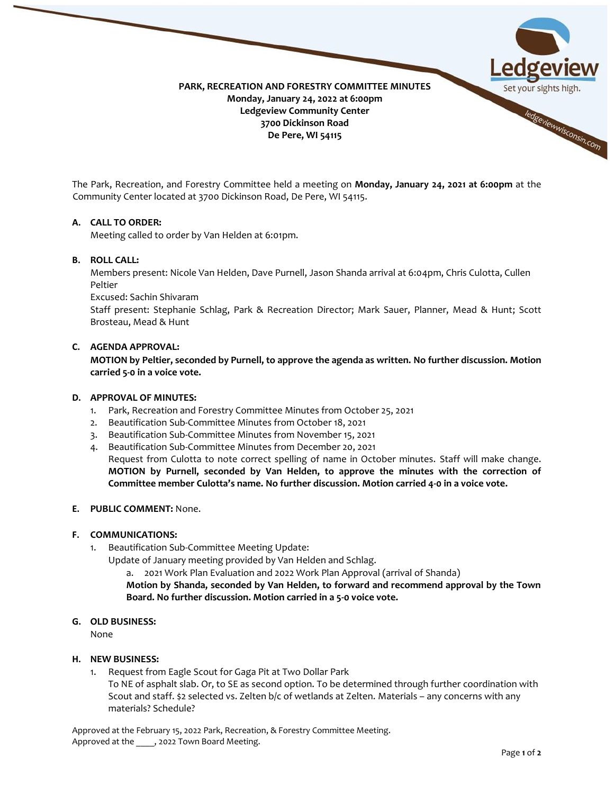

The Park, Recreation, and Forestry Committee held a meeting on **Monday, January 24, 2021 at 6:00pm** at the Community Center located at 3700 Dickinson Road, De Pere, WI 54115.

## **A. CALL TO ORDER:**

Meeting called to order by Van Helden at 6:01pm.

## **B. ROLL CALL:**

Members present: Nicole Van Helden, Dave Purnell, Jason Shanda arrival at 6:04pm, Chris Culotta, Cullen Peltier

Excused: Sachin Shivaram

Staff present: Stephanie Schlag, Park & Recreation Director; Mark Sauer, Planner, Mead & Hunt; Scott Brosteau, Mead & Hunt

# **C. AGENDA APPROVAL:**

**MOTION by Peltier, seconded by Purnell, to approve the agenda as written. No further discussion. Motion carried 5-0 in a voice vote.**

## **D. APPROVAL OF MINUTES:**

- 1. Park, Recreation and Forestry Committee Minutes from October 25, 2021
- 2. Beautification Sub-Committee Minutes from October 18, 2021
- 3. Beautification Sub-Committee Minutes from November 15, 2021
- 4. Beautification Sub-Committee Minutes from December 20, 2021

Request from Culotta to note correct spelling of name in October minutes. Staff will make change. **MOTION by Purnell, seconded by Van Helden, to approve the minutes with the correction of Committee member Culotta's name. No further discussion. Motion carried 4-0 in a voice vote.**

### **E. PUBLIC COMMENT:** None.

### **F. COMMUNICATIONS:**

- 1. Beautification Sub-Committee Meeting Update:
	- Update of January meeting provided by Van Helden and Schlag.
		- a. 2021 Work Plan Evaluation and 2022 Work Plan Approval (arrival of Shanda)

**Motion by Shanda, seconded by Van Helden, to forward and recommend approval by the Town Board. No further discussion. Motion carried in a 5-0 voice vote.**

#### **G. OLD BUSINESS:**

None

## **H. NEW BUSINESS:**

1. Request from Eagle Scout for Gaga Pit at Two Dollar Park

To NE of asphalt slab. Or, to SE as second option. To be determined through further coordination with Scout and staff. \$2 selected vs. Zelten b/c of wetlands at Zelten. Materials – any concerns with any materials? Schedule?

Approved at the February 15, 2022 Park, Recreation, & Forestry Committee Meeting. Approved at the , 2022 Town Board Meeting.